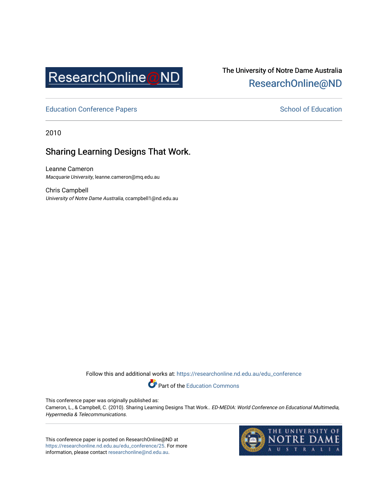

# The University of Notre Dame Australia [ResearchOnline@ND](https://researchonline.nd.edu.au/)

[Education Conference Papers](https://researchonline.nd.edu.au/edu_conference) **School of Education** School of Education

2010

## Sharing Learning Designs That Work.

Leanne Cameron Macquarie University, leanne.cameron@mq.edu.au

Chris Campbell University of Notre Dame Australia, ccampbell1@nd.edu.au

Follow this and additional works at: [https://researchonline.nd.edu.au/edu\\_conference](https://researchonline.nd.edu.au/edu_conference?utm_source=researchonline.nd.edu.au%2Fedu_conference%2F25&utm_medium=PDF&utm_campaign=PDFCoverPages)

Part of the [Education Commons](http://network.bepress.com/hgg/discipline/784?utm_source=researchonline.nd.edu.au%2Fedu_conference%2F25&utm_medium=PDF&utm_campaign=PDFCoverPages) 

This conference paper was originally published as:

Cameron, L., & Campbell, C. (2010). Sharing Learning Designs That Work.. ED-MEDIA: World Conference on Educational Multimedia, Hypermedia & Telecommunications.

This conference paper is posted on ResearchOnline@ND at [https://researchonline.nd.edu.au/edu\\_conference/25.](https://researchonline.nd.edu.au/edu_conference/25) For more information, please contact [researchonline@nd.edu.au.](mailto:researchonline@nd.edu.au)

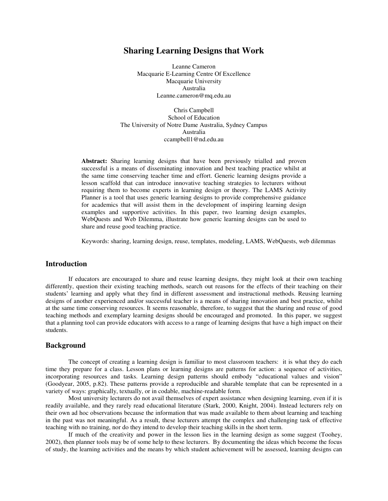## **Sharing Learning Designs that Work**

Leanne Cameron Macquarie E-Learning Centre Of Excellence Macquarie University Australia Leanne.cameron@mq.edu.au

Chris Campbell School of Education The University of Notre Dame Australia, Sydney Campus Australia ccampbell1@nd.edu.au

**Abstract:** Sharing learning designs that have been previously trialled and proven successful is a means of disseminating innovation and best teaching practice whilst at the same time conserving teacher time and effort. Generic learning designs provide a lesson scaffold that can introduce innovative teaching strategies to lecturers without requiring them to become experts in learning design or theory. The LAMS Activity Planner is a tool that uses generic learning designs to provide comprehensive guidance for academics that will assist them in the development of inspiring learning design examples and supportive activities. In this paper, two learning design examples, WebQuests and Web Dilemma, illustrate how generic learning designs can be used to share and reuse good teaching practice.

Keywords: sharing, learning design, reuse, templates, modeling, LAMS, WebQuests, web dilemmas

#### **Introduction**

If educators are encouraged to share and reuse learning designs, they might look at their own teaching differently, question their existing teaching methods, search out reasons for the effects of their teaching on their students' learning and apply what they find in different assessment and instructional methods. Reusing learning designs of another experienced and/or successful teacher is a means of sharing innovation and best practice, whilst at the same time conserving resources. It seems reasonable, therefore, to suggest that the sharing and reuse of good teaching methods and exemplary learning designs should be encouraged and promoted. In this paper, we suggest that a planning tool can provide educators with access to a range of learning designs that have a high impact on their students.

#### **Background**

The concept of creating a learning design is familiar to most classroom teachers: it is what they do each time they prepare for a class. Lesson plans or learning designs are patterns for action: a sequence of activities, incorporating resources and tasks. Learning design patterns should embody "educational values and vision" (Goodyear, 2005, p.82). These patterns provide a reproducible and sharable template that can be represented in a variety of ways: graphically, textually, or in codable, machine-readable form.

Most university lecturers do not avail themselves of expert assistance when designing learning, even if it is readily available, and they rarely read educational literature (Stark, 2000, Knight, 2004). Instead lecturers rely on their own ad hoc observations because the information that was made available to them about learning and teaching in the past was not meaningful. As a result, these lecturers attempt the complex and challenging task of effective teaching with no training, nor do they intend to develop their teaching skills in the short term.

If much of the creativity and power in the lesson lies in the learning design as some suggest (Toohey, 2002), then planner tools may be of some help to these lecturers. By documenting the ideas which become the focus of study, the learning activities and the means by which student achievement will be assessed, learning designs can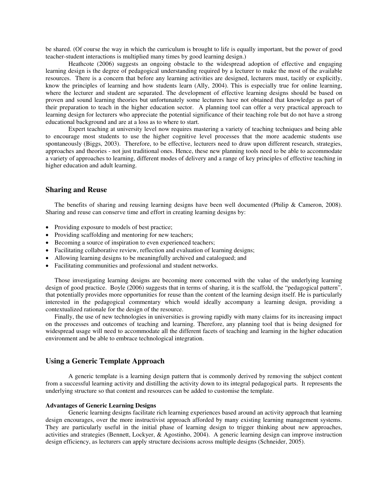be shared. (Of course the way in which the curriculum is brought to life is equally important, but the power of good teacher-student interactions is multiplied many times by good learning design.)

Heathcote (2006) suggests an ongoing obstacle to the widespread adoption of effective and engaging learning design is the degree of pedagogical understanding required by a lecturer to make the most of the available resources. There is a concern that before any learning activities are designed, lecturers must, tacitly or explicitly, know the principles of learning and how students learn (Ally, 2004). This is especially true for online learning, where the lecturer and student are separated. The development of effective learning designs should be based on proven and sound learning theories but unfortunately some lecturers have not obtained that knowledge as part of their preparation to teach in the higher education sector. A planning tool can offer a very practical approach to learning design for lecturers who appreciate the potential significance of their teaching role but do not have a strong educational background and are at a loss as to where to start.

Expert teaching at university level now requires mastering a variety of teaching techniques and being able to encourage most students to use the higher cognitive level processes that the more academic students use spontaneously (Biggs, 2003). Therefore, to be effective, lecturers need to draw upon different research, strategies, approaches and theories - not just traditional ones. Hence, these new planning tools need to be able to accommodate a variety of approaches to learning, different modes of delivery and a range of key principles of effective teaching in higher education and adult learning.

## **Sharing and Reuse**

The benefits of sharing and reusing learning designs have been well documented (Philip & Cameron, 2008). Sharing and reuse can conserve time and effort in creating learning designs by:

- Providing exposure to models of best practice;
- Providing scaffolding and mentoring for new teachers;
- Becoming a source of inspiration to even experienced teachers;
- Facilitating collaborative review, reflection and evaluation of learning designs;
- Allowing learning designs to be meaningfully archived and catalogued; and
- Facilitating communities and professional and student networks.

Those investigating learning designs are becoming more concerned with the value of the underlying learning design of good practice. Boyle (2006) suggests that in terms of sharing, it is the scaffold, the "pedagogical pattern", that potentially provides more opportunities for reuse than the content of the learning design itself. He is particularly interested in the pedagogical commentary which would ideally accompany a learning design, providing a contextualized rationale for the design of the resource.

Finally, the use of new technologies in universities is growing rapidly with many claims for its increasing impact on the processes and outcomes of teaching and learning. Therefore, any planning tool that is being designed for widespread usage will need to accommodate all the different facets of teaching and learning in the higher education environment and be able to embrace technological integration.

## **Using a Generic Template Approach**

A generic template is a learning design pattern that is commonly derived by removing the subject content from a successful learning activity and distilling the activity down to its integral pedagogical parts. It represents the underlying structure so that content and resources can be added to customise the template.

#### **Advantages of Generic Learning Designs**

Generic learning designs facilitate rich learning experiences based around an activity approach that learning design encourages, over the more instructivist approach afforded by many existing learning management systems. They are particularly useful in the initial phase of learning design to trigger thinking about new approaches, activities and strategies (Bennett, Lockyer, & Agostinho, 2004). A generic learning design can improve instruction design efficiency, as lecturers can apply structure decisions across multiple designs (Schneider, 2005).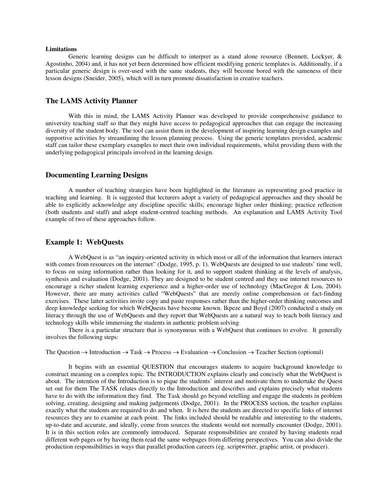#### **Limitations**

Generic learning designs can be difficult to interpret as a stand alone resource (Bennett, Lockyer, & Agostinho, 2004) and, it has not yet been determined how efficient modifying generic templates is. Additionally, if a particular generic design is over-used with the same students, they will become bored with the sameness of their lesson designs (Sneider, 2005), which will in turn promote dissatisfaction in creative teachers.

## **The LAMS Activity Planner**

With this in mind, the LAMS Activity Planner was developed to provide comprehensive guidance to university teaching staff so that they might have access to pedagogical approaches that can engage the increasing diversity of the student body. The tool can assist them in the development of inspiring learning design examples and supportive activities by streamlining the lesson planning process. Using the generic templates provided, academic staff can tailor these exemplary examples to meet their own individual requirements, whilst providing them with the underlying pedagogical principals involved in the learning design.

#### **Documenting Learning Designs**

A number of teaching strategies have been highlighted in the literature as representing good practice in teaching and learning. It is suggested that lecturers adopt a variety of pedagogical approaches and they should be able to explicitly acknowledge any discipline specific skills; encourage higher order thinking; practice reflection (both students and staff) and adopt student-centred teaching methods. An explanation and LAMS Activity Tool example of two of these approaches follow.

#### **Example 1: WebQuests**

A WebQuest is as "an inquiry-oriented activity in which most or all of the information that learners interact with comes from resources on the internet" (Dodge, 1995, p. 1). WebQuests are designed to use students' time well, to focus on using information rather than looking for it, and to support student thinking at the levels of analysis, synthesis and evaluation (Dodge, 2001). They are designed to be student centred and they use internet resources to encourage a richer student learning experience and a higher-order use of technology (MacGregor & Lou, 2004). However, there are many activities called "WebQuests" that are merely online comprehension or fact-finding exercises. These latter activities invite copy and paste responses rather than the higher-order thinking outcomes and deep knowledge seeking for which WebQuests have become known. Ikpeze and Boyd (2007) conducted a study on literacy through the use of WebQuests and they report that WebQuests are a natural way to teach both literacy and technology skills while immersing the students in authentic problem solving

There is a particular structure that is synonymous with a WebQuest that continues to evolve. It generally involves the following steps:

The Question  $\rightarrow$  Introduction  $\rightarrow$  Task  $\rightarrow$  Process  $\rightarrow$  Evaluation  $\rightarrow$  Conclusion  $\rightarrow$  Teacher Section (optional)

It begins with an essential QUESTION that encourages students to acquire background knowledge to construct meaning on a complex topic. The INTRODUCTION explains clearly and concisely what the WebQuest is about. The intention of the Introduction is to pique the students' interest and motivate them to undertake the Quest set out for them The TASK relates directly to the Introduction and describes and explains precisely what students have to do with the information they find. The Task should go beyond retelling and engage the students in problem solving, creating, designing and making judgements (Dodge, 2001). In the PROCESS section, the teacher explains exactly what the students are required to do and when. It is here the students are directed to specific links of internet resources they are to examine at each point. The links included should be readable and interesting to the students, up-to-date and accurate, and ideally, come from sources the students would not normally encounter (Dodge, 2001). It is in this section roles are commonly introduced. Separate responsibilities are created by having students read different web pages or by having them read the same webpages from differing perspectives. You can also divide the production responsibilities in ways that parallel production careers (eg. scriptwriter, graphic artist, or producer).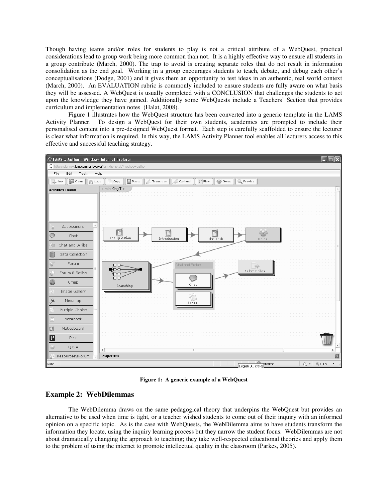Though having teams and/or roles for students to play is not a critical attribute of a WebQuest, practical considerations lead to group work being more common than not. It is a highly effective way to ensure all students in a group contribute (March, 2000). The trap to avoid is creating separate roles that do not result in information consolidation as the end goal. Working in a group encourages students to teach, debate, and debug each other's conceptualisations (Dodge, 2001) and it gives them an opportunity to test ideas in an authentic, real world context (March, 2000). An EVALUATION rubric is commonly included to ensure students are fully aware on what basis they will be assessed. A WebQuest is usually completed with a CONCLUSION that challenges the students to act upon the knowledge they have gained. Additionally some WebQuests include a Teachers' Section that provides curriculum and implementation notes (Halat, 2008).

Figure 1 illustrates how the WebQuest structure has been converted into a generic template in the LAMS Activity Planner. To design a WebQuest for their own students, academics are prompted to include their personalised content into a pre-designed WebQuest format. Each step is carefully scaffolded to ensure the lecturer is clear what information is required. In this way, the LAMS Activity Planner tool enables all lecturers access to this effective and successful teaching strategy.



**Figure 1: A generic example of a WebQuest** 

### **Example 2: WebDilemmas**

The WebDilemma draws on the same pedagogical theory that underpins the WebQuest but provides an alternative to be used when time is tight, or a teacher wished students to come out of their inquiry with an informed opinion on a specific topic. As is the case with WebQuests, the WebDilemma aims to have students transform the information they locate, using the inquiry learning process but they narrow the student focus. WebDilemmas are not about dramatically changing the approach to teaching; they take well-respected educational theories and apply them to the problem of using the internet to promote intellectual quality in the classroom (Parkes, 2005).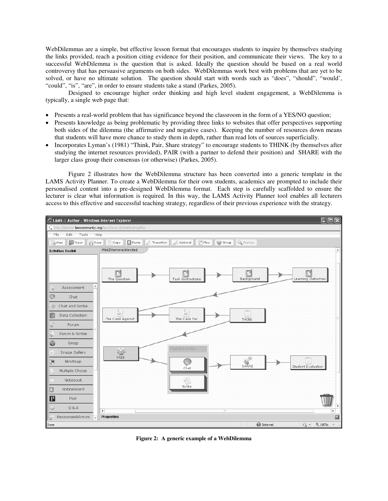WebDilemmas are a simple, but effective lesson format that encourages students to inquire by themselves studying the links provided, reach a position citing evidence for their position, and communicate their views. The key to a successful WebDilemma is the question that is asked. Ideally the question should be based on a real world controversy that has persuasive arguments on both sides. WebDilemmas work best with problems that are yet to be solved, or have no ultimate solution. The question should start with words such as "does", "should", "would', "could", "is", "are", in order to ensure students take a stand (Parkes, 2005).

Designed to encourage higher order thinking and high level student engagement, a WebDilemma is typically, a single web page that:

- Presents a real-world problem that has significance beyond the classroom in the form of a YES/NO question;
- Presents knowledge as being problematic by providing three links to websites that offer perspectives supporting both sides of the dilemma (the affirmative and negative cases). Keeping the number of resources down means that students will have more chance to study them in depth, rather than read lots of sources superficially.
- Incorporates Lyman's (1981) "Think, Pair, Share strategy" to encourage students to THINK (by themselves after studying the internet resources provided), PAIR (with a partner to defend their position) and SHARE with the larger class group their consensus (or otherwise) (Parkes, 2005).

Figure 2 illustrates how the WebDilemma structure has been converted into a generic template in the LAMS Activity Planner. To create a WebDilemma for their own students, academics are prompted to include their personalised content into a pre-designed WebDilemma format. Each step is carefully scaffolded to ensure the lecturer is clear what information is required. In this way, the LAMS Activity Planner tool enables all lecturers access to this effective and successful teaching strategy, regardless of their previous experience with the strategy.



**Figure 2: A generic example of a WebDilemma**